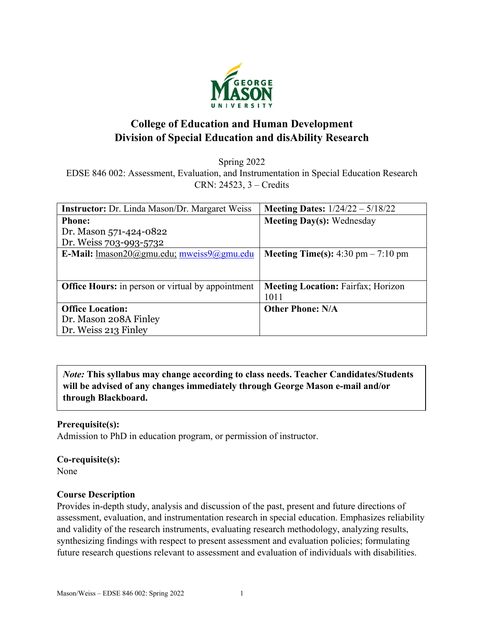

# **College of Education and Human Development Division of Special Education and disAbility Research**

Spring 2022

EDSE 846 002: Assessment, Evaluation, and Instrumentation in Special Education Research CRN: 24523, 3 – Credits

| <b>Instructor:</b> Dr. Linda Mason/Dr. Margaret Weiss    | <b>Meeting Dates:</b> $1/24/22 - 5/18/22$   |
|----------------------------------------------------------|---------------------------------------------|
| <b>Phone:</b>                                            | <b>Meeting Day(s): Wednesday</b>            |
| Dr. Mason 571-424-0822                                   |                                             |
| Dr. Weiss 703-993-5732                                   |                                             |
| <b>E-Mail:</b> lmason20@gmu.edu; mweiss9@gmu.edu         | <b>Meeting Time(s):</b> 4:30 pm $- 7:10$ pm |
|                                                          |                                             |
|                                                          |                                             |
| <b>Office Hours:</b> in person or virtual by appointment | <b>Meeting Location: Fairfax; Horizon</b>   |
|                                                          | 1011                                        |
| <b>Office Location:</b>                                  | <b>Other Phone: N/A</b>                     |
| Dr. Mason 208A Finley                                    |                                             |
| Dr. Weiss 213 Finley                                     |                                             |

*Note:* **This syllabus may change according to class needs. Teacher Candidates/Students will be advised of any changes immediately through George Mason e-mail and/or through Blackboard.**

### **Prerequisite(s):**

Admission to PhD in education program, or permission of instructor.

### **Co-requisite(s):**

None

### **Course Description**

Provides in-depth study, analysis and discussion of the past, present and future directions of assessment, evaluation, and instrumentation research in special education. Emphasizes reliability and validity of the research instruments, evaluating research methodology, analyzing results, synthesizing findings with respect to present assessment and evaluation policies; formulating future research questions relevant to assessment and evaluation of individuals with disabilities.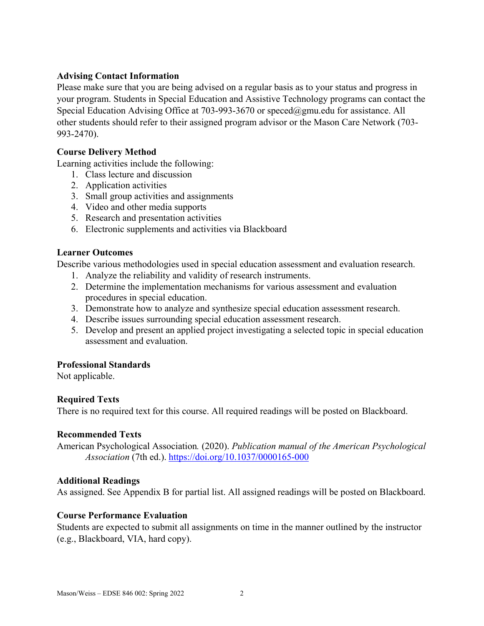### **Advising Contact Information**

Please make sure that you are being advised on a regular basis as to your status and progress in your program. Students in Special Education and Assistive Technology programs can contact the Special Education Advising Office at 703-993-3670 or [speced@gmu.edu](mailto:speced@gmu.edu) for assistance. All other students should refer to their assigned program advisor or the Mason Care Network (703- 993-2470).

### **Course Delivery Method**

Learning activities include the following:

- 1. Class lecture and discussion
- 2. Application activities
- 3. Small group activities and assignments
- 4. Video and other media supports
- 5. Research and presentation activities
- 6. Electronic supplements and activities via Blackboard

### **Learner Outcomes**

Describe various methodologies used in special education assessment and evaluation research.

- 1. Analyze the reliability and validity of research instruments.
- 2. Determine the implementation mechanisms for various assessment and evaluation procedures in special education.
- 3. Demonstrate how to analyze and synthesize special education assessment research.
- 4. Describe issues surrounding special education assessment research.
- 5. Develop and present an applied project investigating a selected topic in special education assessment and evaluation.

### **Professional Standards**

Not applicable.

# **Required Texts**

There is no required text for this course. All required readings will be posted on Blackboard.

### **Recommended Texts**

American Psychological Association*.* (2020). *Publication manual of the American Psychological Association* (7th ed.). <https://doi.org/10.1037/0000165-000>

### **Additional Readings**

As assigned. See Appendix B for partial list. All assigned readings will be posted on Blackboard.

### **Course Performance Evaluation**

Students are expected to submit all assignments on time in the manner outlined by the instructor (e.g., Blackboard, VIA, hard copy).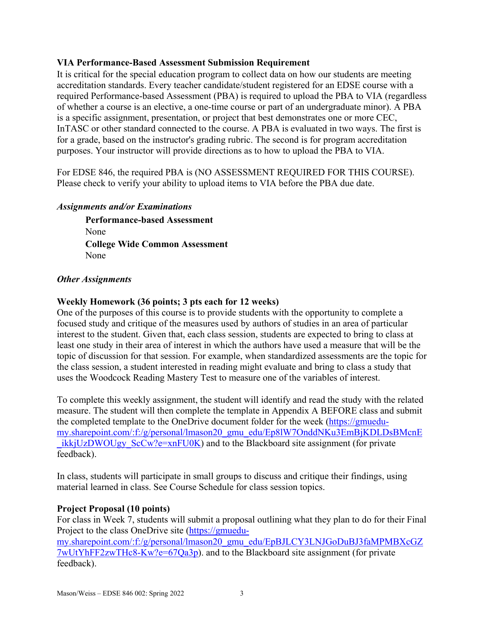### **VIA Performance-Based Assessment Submission Requirement**

It is critical for the special education program to collect data on how our students are meeting accreditation standards. Every teacher candidate/student registered for an EDSE course with a required Performance-based Assessment (PBA) is required to upload the PBA to VIA (regardless of whether a course is an elective, a one-time course or part of an undergraduate minor). A PBA is a specific assignment, presentation, or project that best demonstrates one or more CEC, InTASC or other standard connected to the course. A PBA is evaluated in two ways. The first is for a grade, based on the instructor's grading rubric. The second is for program accreditation purposes. Your instructor will provide directions as to how to upload the PBA to VIA.

For EDSE 846, the required PBA is (NO ASSESSMENT REQUIRED FOR THIS COURSE). Please check to verify your ability to upload items to VIA before the PBA due date.

### *Assignments and/or Examinations*

**Performance-based Assessment** None **College Wide Common Assessment**  None

### *Other Assignments*

# **Weekly Homework (36 points; 3 pts each for 12 weeks)**

One of the purposes of this course is to provide students with the opportunity to complete a focused study and critique of the measures used by authors of studies in an area of particular interest to the student. Given that, each class session, students are expected to bring to class at least one study in their area of interest in which the authors have used a measure that will be the topic of discussion for that session. For example, when standardized assessments are the topic for the class session, a student interested in reading might evaluate and bring to class a study that uses the Woodcock Reading Mastery Test to measure one of the variables of interest.

To complete this weekly assignment, the student will identify and read the study with the related measure. The student will then complete the template in Appendix A BEFORE class and submit the completed template to the OneDrive document folder for the week [\(https://gmuedu](https://gmuedu-my.sharepoint.com/:f:/g/personal/lmason20_gmu_edu/Ep8lW7OnddNKu3EmBjKDLDsBMcnE_ikkjUzDWOUgy_ScCw?e=xnFU0K)[my.sharepoint.com/:f:/g/personal/lmason20\\_gmu\\_edu/Ep8lW7OnddNKu3EmBjKDLDsBMcnE](https://gmuedu-my.sharepoint.com/:f:/g/personal/lmason20_gmu_edu/Ep8lW7OnddNKu3EmBjKDLDsBMcnE_ikkjUzDWOUgy_ScCw?e=xnFU0K) ikkjUzDWOUgy ScCw?e=xnFU0K) and to the Blackboard site assignment (for private feedback).

In class, students will participate in small groups to discuss and critique their findings, using material learned in class. See Course Schedule for class session topics.

# **Project Proposal (10 points)**

For class in Week 7, students will submit a proposal outlining what they plan to do for their Final Project to the class OneDrive site [\(https://gmuedu](https://gmuedu-my.sharepoint.com/:f:/g/personal/lmason20_gmu_edu/EpBJLCY3LNJGoDuBJ3faMPMBXcGZ7wUtYhFF2zwTHc8-Kw?e=67Qa3p)[my.sharepoint.com/:f:/g/personal/lmason20\\_gmu\\_edu/EpBJLCY3LNJGoDuBJ3faMPMBXcGZ](https://gmuedu-my.sharepoint.com/:f:/g/personal/lmason20_gmu_edu/EpBJLCY3LNJGoDuBJ3faMPMBXcGZ7wUtYhFF2zwTHc8-Kw?e=67Qa3p) [7wUtYhFF2zwTHc8-Kw?e=67Qa3p\)](https://gmuedu-my.sharepoint.com/:f:/g/personal/lmason20_gmu_edu/EpBJLCY3LNJGoDuBJ3faMPMBXcGZ7wUtYhFF2zwTHc8-Kw?e=67Qa3p). and to the Blackboard site assignment (for private feedback).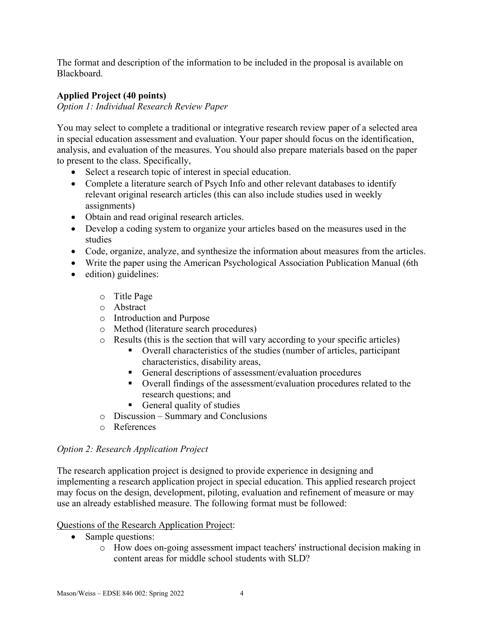The format and description of the information to be included in the proposal is available on Blackboard.

# **Applied Project (40 points)**

*Option 1: Individual Research Review Paper*

You may select to complete a traditional or integrative research review paper of a selected area in special education assessment and evaluation. Your paper should focus on the identification, analysis, and evaluation of the measures. You should also prepare materials based on the paper to present to the class. Specifically,

- Select a research topic of interest in special education.
- Complete a literature search of Psych Info and other relevant databases to identify relevant original research articles (this can also include studies used in weekly assignments)
- Obtain and read original research articles.
- Develop a coding system to organize your articles based on the measures used in the studies
- Code, organize, analyze, and synthesize the information about measures from the articles.
- Write the paper using the American Psychological Association Publication Manual (6th
- edition) guidelines:
	- o Title Page
	- o Abstract
	- o Introduction and Purpose
	- o Method (literature search procedures)
	- o Results (this is the section that will vary according to your specific articles)
		- Overall characteristics of the studies (number of articles, participant characteristics, disability areas,
		- General descriptions of assessment/evaluation procedures
		- Overall findings of the assessment/evaluation procedures related to the research questions; and
		- General quality of studies
	- o Discussion Summary and Conclusions
	- o References

# *Option 2: Research Application Project*

The research application project is designed to provide experience in designing and implementing a research application project in special education. This applied research project may focus on the design, development, piloting, evaluation and refinement of measure or may use an already established measure. The following format must be followed:

# Questions of the Research Application Project:

- Sample questions:
	- o How does on-going assessment impact teachers' instructional decision making in content areas for middle school students with SLD?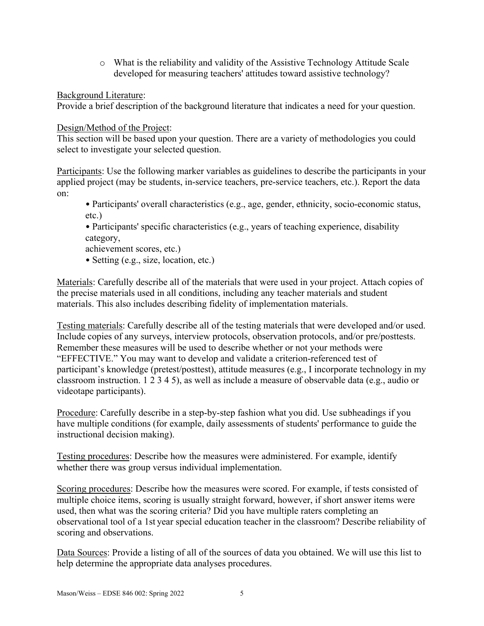o What is the reliability and validity of the Assistive Technology Attitude Scale developed for measuring teachers' attitudes toward assistive technology?

Background Literature:

Provide a brief description of the background literature that indicates a need for your question.

Design/Method of the Project:

This section will be based upon your question. There are a variety of methodologies you could select to investigate your selected question.

Participants: Use the following marker variables as guidelines to describe the participants in your applied project (may be students, in-service teachers, pre-service teachers, etc.). Report the data on:

• Participants' overall characteristics (e.g., age, gender, ethnicity, socio-economic status, etc.)

• Participants' specific characteristics (e.g., years of teaching experience, disability category,

achievement scores, etc.)

• Setting (e.g., size, location, etc.)

Materials: Carefully describe all of the materials that were used in your project. Attach copies of the precise materials used in all conditions, including any teacher materials and student materials. This also includes describing fidelity of implementation materials.

Testing materials: Carefully describe all of the testing materials that were developed and/or used. Include copies of any surveys, interview protocols, observation protocols, and/or pre/posttests. Remember these measures will be used to describe whether or not your methods were "EFFECTIVE." You may want to develop and validate a criterion-referenced test of participant's knowledge (pretest/posttest), attitude measures (e.g., I incorporate technology in my classroom instruction. 1 2 3 4 5), as well as include a measure of observable data (e.g., audio or videotape participants).

Procedure: Carefully describe in a step-by-step fashion what you did. Use subheadings if you have multiple conditions (for example, daily assessments of students' performance to guide the instructional decision making).

Testing procedures: Describe how the measures were administered. For example, identify whether there was group versus individual implementation.

Scoring procedures: Describe how the measures were scored. For example, if tests consisted of multiple choice items, scoring is usually straight forward, however, if short answer items were used, then what was the scoring criteria? Did you have multiple raters completing an observational tool of a 1st year special education teacher in the classroom? Describe reliability of scoring and observations.

Data Sources: Provide a listing of all of the sources of data you obtained. We will use this list to help determine the appropriate data analyses procedures.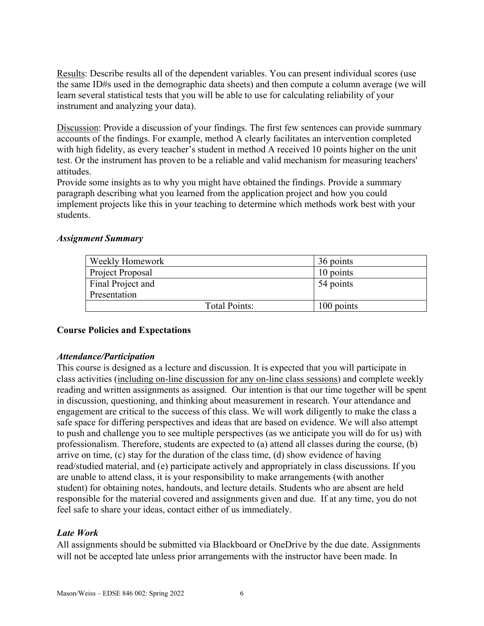Results: Describe results all of the dependent variables. You can present individual scores (use the same ID#s used in the demographic data sheets) and then compute a column average (we will learn several statistical tests that you will be able to use for calculating reliability of your instrument and analyzing your data).

Discussion: Provide a discussion of your findings. The first few sentences can provide summary accounts of the findings. For example, method A clearly facilitates an intervention completed with high fidelity, as every teacher's student in method A received 10 points higher on the unit test. Or the instrument has proven to be a reliable and valid mechanism for measuring teachers' attitudes.

Provide some insights as to why you might have obtained the findings. Provide a summary paragraph describing what you learned from the application project and how you could implement projects like this in your teaching to determine which methods work best with your students.

### *Assignment Summary*

| Weekly Homework      | 36 points  |
|----------------------|------------|
| Project Proposal     | 10 points  |
| Final Project and    | 54 points  |
| Presentation         |            |
| <b>Total Points:</b> | 100 points |

# **Course Policies and Expectations**

### *Attendance/Participation*

This course is designed as a lecture and discussion. It is expected that you will participate in class activities (including on-line discussion for any on-line class sessions) and complete weekly reading and written assignments as assigned. Our intention is that our time together will be spent in discussion, questioning, and thinking about measurement in research. Your attendance and engagement are critical to the success of this class. We will work diligently to make the class a safe space for differing perspectives and ideas that are based on evidence. We will also attempt to push and challenge you to see multiple perspectives (as we anticipate you will do for us) with professionalism. Therefore, students are expected to (a) attend all classes during the course, (b) arrive on time, (c) stay for the duration of the class time, (d) show evidence of having read/studied material, and (e) participate actively and appropriately in class discussions. If you are unable to attend class, it is your responsibility to make arrangements (with another student) for obtaining notes, handouts, and lecture details. Students who are absent are held responsible for the material covered and assignments given and due. If at any time, you do not feel safe to share your ideas, contact either of us immediately.

# *Late Work*

All assignments should be submitted via Blackboard or OneDrive by the due date. Assignments will not be accepted late unless prior arrangements with the instructor have been made. In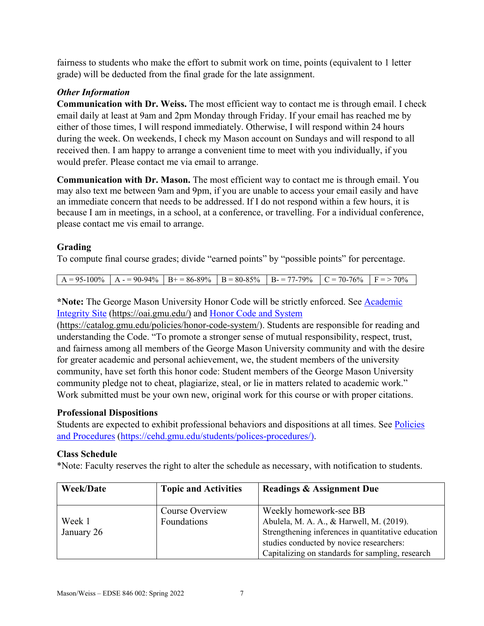fairness to students who make the effort to submit work on time, points (equivalent to 1 letter grade) will be deducted from the final grade for the late assignment.

# *Other Information*

**Communication with Dr. Weiss.** The most efficient way to contact me is through email. I check email daily at least at 9am and 2pm Monday through Friday. If your email has reached me by either of those times, I will respond immediately. Otherwise, I will respond within 24 hours during the week. On weekends, I check my Mason account on Sundays and will respond to all received then. I am happy to arrange a convenient time to meet with you individually, if you would prefer. Please contact me via email to arrange.

**Communication with Dr. Mason.** The most efficient way to contact me is through email. You may also text me between 9am and 9pm, if you are unable to access your email easily and have an immediate concern that needs to be addressed. If I do not respond within a few hours, it is because I am in meetings, in a school, at a conference, or travelling. For a individual conference, please contact me vis email to arrange.

# **Grading**

To compute final course grades; divide "earned points" by "possible points" for percentage.

|  | $R = 95-100\%$ $A = 90-94\%$ $B = 86-89\%$ $B = 80-85\%$ $B = 77-79\%$ $C = 70-76\%$ $F = 70\%$ |  |  |
|--|-------------------------------------------------------------------------------------------------|--|--|

**\*Note:** The George Mason University Honor Code will be strictly enforced. See [Academic](https://oai.gmu.edu/)  [Integrity Site](https://oai.gmu.edu/) [\(https://oai.gmu.edu/\)](https://oai.gmu.edu/) and [Honor Code and System](https://catalog.gmu.edu/policies/honor-code-system/)

[\(https://catalog.gmu.edu/policies/honor-code-system/\)](https://catalog.gmu.edu/policies/honor-code-system/). Students are responsible for reading and understanding the Code. "To promote a stronger sense of mutual responsibility, respect, trust, and fairness among all members of the George Mason University community and with the desire for greater academic and personal achievement, we, the student members of the university community, have set forth this honor code: Student members of the George Mason University community pledge not to cheat, plagiarize, steal, or lie in matters related to academic work." Work submitted must be your own new, original work for this course or with proper citations.

# **Professional Dispositions**

Students are expected to exhibit professional behaviors and dispositions at all times. See [Policies](https://cehd.gmu.edu/students/polices-procedures/)  [and Procedures](https://cehd.gmu.edu/students/polices-procedures/) [\(https://cehd.gmu.edu/students/polices-procedures/\)](https://cehd.gmu.edu/students/polices-procedures/).

# **Class Schedule**

\*Note: Faculty reserves the right to alter the schedule as necessary, with notification to students.

| <b>Week/Date</b>     | <b>Topic and Activities</b>    | <b>Readings &amp; Assignment Due</b>                                                                                                                                                                                     |
|----------------------|--------------------------------|--------------------------------------------------------------------------------------------------------------------------------------------------------------------------------------------------------------------------|
| Week 1<br>January 26 | Course Overview<br>Foundations | Weekly homework-see BB<br>Abulela, M. A. A., & Harwell, M. (2019).<br>Strengthening inferences in quantitative education<br>studies conducted by novice researchers:<br>Capitalizing on standards for sampling, research |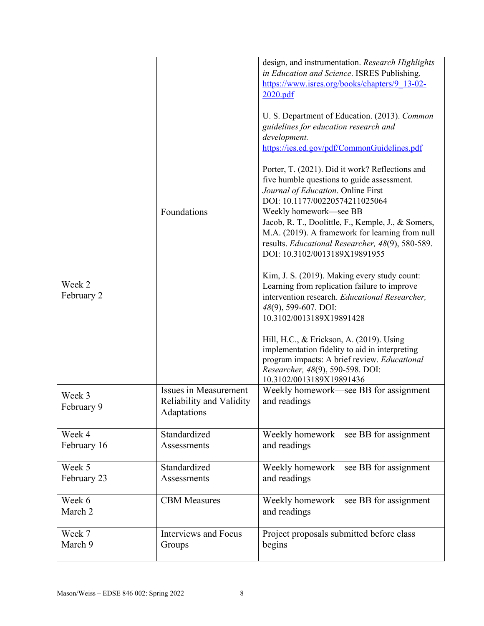|                       |                                                                  | design, and instrumentation. Research Highlights<br>in Education and Science. ISRES Publishing.<br>https://www.isres.org/books/chapters/9 13-02-<br>2020.pdf                                                         |
|-----------------------|------------------------------------------------------------------|----------------------------------------------------------------------------------------------------------------------------------------------------------------------------------------------------------------------|
|                       |                                                                  | U. S. Department of Education. (2013). Common<br>guidelines for education research and<br>development.<br>https://ies.ed.gov/pdf/CommonGuidelines.pdf                                                                |
|                       |                                                                  | Porter, T. (2021). Did it work? Reflections and<br>five humble questions to guide assessment.<br>Journal of Education. Online First<br>DOI: 10.1177/00220574211025064                                                |
| Week 2<br>February 2  | Foundations                                                      | Weekly homework-see BB<br>Jacob, R. T., Doolittle, F., Kemple, J., & Somers,<br>M.A. (2019). A framework for learning from null<br>results. Educational Researcher, 48(9), 580-589.<br>DOI: 10.3102/0013189X19891955 |
|                       |                                                                  | Kim, J. S. (2019). Making every study count:<br>Learning from replication failure to improve<br>intervention research. Educational Researcher,<br>48(9), 599-607. DOI:<br>10.3102/0013189X19891428                   |
|                       |                                                                  | Hill, H.C., & Erickson, A. (2019). Using<br>implementation fidelity to aid in interpreting<br>program impacts: A brief review. Educational<br>Researcher, 48(9), 590-598. DOI:<br>10.3102/0013189X19891436           |
| Week 3<br>February 9  | Issues in Measurement<br>Reliability and Validity<br>Adaptations | Weekly homework—see BB for assignment<br>and readings                                                                                                                                                                |
| Week 4<br>February 16 | Standardized<br>Assessments                                      | Weekly homework—see BB for assignment<br>and readings                                                                                                                                                                |
| Week 5<br>February 23 | Standardized<br>Assessments                                      | Weekly homework—see BB for assignment<br>and readings                                                                                                                                                                |
| Week 6<br>March 2     | <b>CBM</b> Measures                                              | Weekly homework—see BB for assignment<br>and readings                                                                                                                                                                |
| Week 7<br>March 9     | <b>Interviews and Focus</b><br>Groups                            | Project proposals submitted before class<br>begins                                                                                                                                                                   |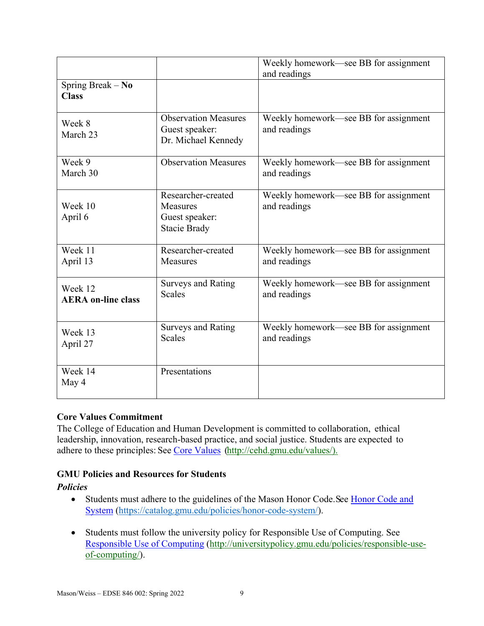|                                      |                                                                         | Weekly homework—see BB for assignment<br>and readings |
|--------------------------------------|-------------------------------------------------------------------------|-------------------------------------------------------|
| Spring Break - No<br><b>Class</b>    |                                                                         |                                                       |
| Week 8<br>March 23                   | <b>Observation Measures</b><br>Guest speaker:<br>Dr. Michael Kennedy    | Weekly homework—see BB for assignment<br>and readings |
| Week 9<br>March 30                   | <b>Observation Measures</b>                                             | Weekly homework—see BB for assignment<br>and readings |
| Week 10<br>April 6                   | Researcher-created<br>Measures<br>Guest speaker:<br><b>Stacie Brady</b> | Weekly homework—see BB for assignment<br>and readings |
| Week 11<br>April 13                  | Researcher-created<br><b>Measures</b>                                   | Weekly homework—see BB for assignment<br>and readings |
| Week 12<br><b>AERA on-line class</b> | <b>Surveys and Rating</b><br><b>Scales</b>                              | Weekly homework—see BB for assignment<br>and readings |
| Week 13<br>April 27                  | <b>Surveys and Rating</b><br><b>Scales</b>                              | Weekly homework—see BB for assignment<br>and readings |
| Week 14<br>May 4                     | Presentations                                                           |                                                       |

# **Core Values Commitment**

The College of Education and Human Development is committed to collaboration, ethical leadership, innovation, research-based practice, and social justice. Students are expected to adhere to these principles: See [Core Values](http://cehd.gmu.edu/values/) [\(http://cehd.gmu.edu/values/\)](http://cehd.gmu.edu/values/).

# **GMU Policies and Resources for Students**

### *Policies*

- Students must adhere to the guidelines of the Mason Honor Code. See Honor Code and [System](https://catalog.gmu.edu/policies/honor-code-system/) [\(https://catalog.gmu.edu/policies/honor-code-system/\)](https://catalog.gmu.edu/policies/honor-code-system/).
- Students must follow the university policy for Responsible Use of Computing. See [Responsible Use of Computing](http://universitypolicy.gmu.edu/policies/responsible-use-of-computing/) [\(http://universitypolicy.gmu.edu/policies/responsible-use](http://universitypolicy.gmu.edu/policies/responsible-use-of-computing/)[of-computing/\)](http://universitypolicy.gmu.edu/policies/responsible-use-of-computing/).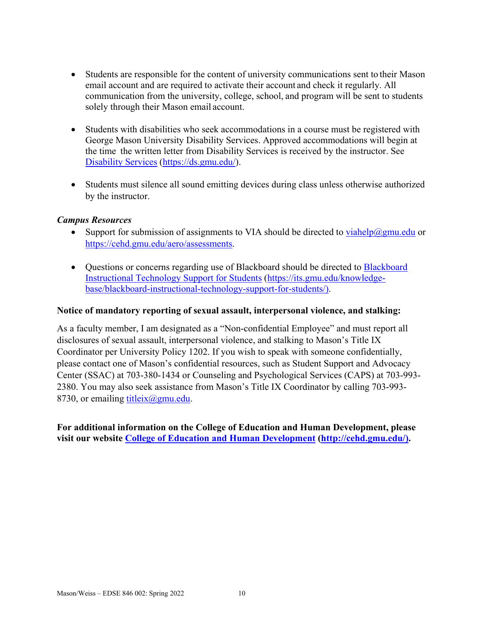- Students are responsible for the content of university communications sent to their Mason email account and are required to activate their account and check it regularly. All communication from the university, college, school, and program will be sent to students solely through their Mason email account.
- Students with disabilities who seek accommodations in a course must be registered with George Mason University Disability Services. Approved accommodations will begin at the time the written letter from Disability Services is received by the instructor. See [Disability Services](https://ds.gmu.edu/) [\(https://ds.gmu.edu/\)](https://ds.gmu.edu/).
- Students must silence all sound emitting devices during class unless otherwise authorized by the instructor.

# *Campus Resources*

- Support for submission of assignments to VIA should be directed to  $viahelp@gmu.edu$  or</u> [https://cehd.gmu.edu/aero/assessments.](https://cehd.gmu.edu/aero/assessments)
- Questions or concerns regarding use of [Blackboard](https://its.gmu.edu/knowledge-base/blackboard-instructional-technology-support-for-students/) should be directed to **Blackboard** [Instructional Technology Support for Students](https://its.gmu.edu/knowledge-base/blackboard-instructional-technology-support-for-students/) [\(https://its.gmu.edu/knowledge](https://its.gmu.edu/knowledge-base/blackboard-instructional-technology-support-for-students/)[base/blackboard-instructional-technology-support-for-students/\)](https://its.gmu.edu/knowledge-base/blackboard-instructional-technology-support-for-students/).

### **Notice of mandatory reporting of sexual assault, interpersonal violence, and stalking:**

As a faculty member, I am designated as a "Non-confidential Employee" and must report all disclosures of sexual assault, interpersonal violence, and stalking to Mason's Title IX Coordinator per University Policy 1202. If you wish to speak with someone confidentially, please contact one of Mason's confidential resources, such as Student Support and Advocacy Center (SSAC) at 703-380-1434 or Counseling and Psychological Services (CAPS) at 703-993- 2380. You may also seek assistance from Mason's Title IX Coordinator by calling 703-993- 8730, or emailing titleix $(\omega)$ gmu.edu.

**For additional information on the College of Education and Human Development, please visit our website [College of Education and Human Development](http://cehd.gmu.edu/) [\(http://cehd.gmu.edu/\)](https://cehd.gmu.edu/).**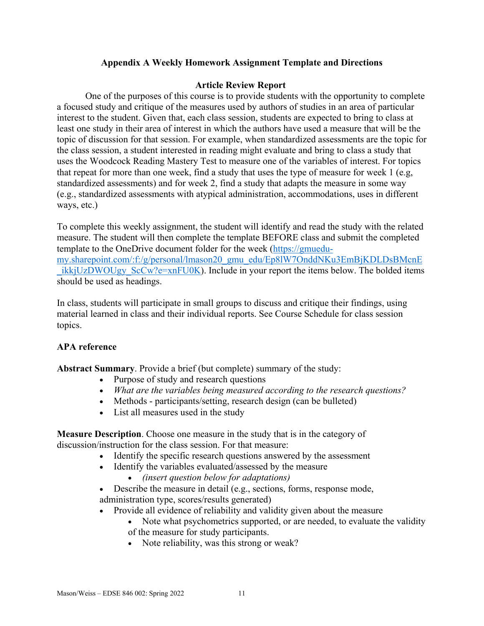### **Appendix A Weekly Homework Assignment Template and Directions**

### **Article Review Report**

One of the purposes of this course is to provide students with the opportunity to complete a focused study and critique of the measures used by authors of studies in an area of particular interest to the student. Given that, each class session, students are expected to bring to class at least one study in their area of interest in which the authors have used a measure that will be the topic of discussion for that session. For example, when standardized assessments are the topic for the class session, a student interested in reading might evaluate and bring to class a study that uses the Woodcock Reading Mastery Test to measure one of the variables of interest. For topics that repeat for more than one week, find a study that uses the type of measure for week 1 (e.g, standardized assessments) and for week 2, find a study that adapts the measure in some way (e.g., standardized assessments with atypical administration, accommodations, uses in different ways, etc.)

To complete this weekly assignment, the student will identify and read the study with the related measure. The student will then complete the template BEFORE class and submit the completed template to the OneDrive document folder for the week [\(https://gmuedu](https://gmuedu-my.sharepoint.com/:f:/g/personal/lmason20_gmu_edu/Ep8lW7OnddNKu3EmBjKDLDsBMcnE_ikkjUzDWOUgy_ScCw?e=xnFU0K)[my.sharepoint.com/:f:/g/personal/lmason20\\_gmu\\_edu/Ep8lW7OnddNKu3EmBjKDLDsBMcnE](https://gmuedu-my.sharepoint.com/:f:/g/personal/lmason20_gmu_edu/Ep8lW7OnddNKu3EmBjKDLDsBMcnE_ikkjUzDWOUgy_ScCw?e=xnFU0K)  $ikkiUzDWOUgy$  ScCw?e=xnFU0K). Include in your report the items below. The bolded items should be used as headings.

In class, students will participate in small groups to discuss and critique their findings, using material learned in class and their individual reports. See Course Schedule for class session topics.

### **APA reference**

**Abstract Summary**. Provide a brief (but complete) summary of the study:

- Purpose of study and research questions
- *What are the variables being measured according to the research questions?*
- Methods participants/setting, research design (can be bulleted)
- List all measures used in the study

**Measure Description**. Choose one measure in the study that is in the category of discussion/instruction for the class session. For that measure:

- Identify the specific research questions answered by the assessment
- Identify the variables evaluated/assessed by the measure
	- *(insert question below for adaptations)*

• Describe the measure in detail (e.g., sections, forms, response mode, administration type, scores/results generated)

- Provide all evidence of reliability and validity given about the measure
	- Note what psychometrics supported, or are needed, to evaluate the validity of the measure for study participants.
	- Note reliability, was this strong or weak?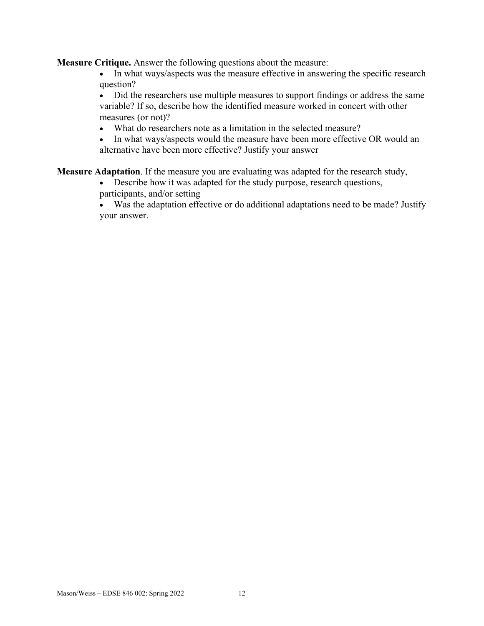**Measure Critique.** Answer the following questions about the measure:

- In what ways/aspects was the measure effective in answering the specific research question?
- Did the researchers use multiple measures to support findings or address the same variable? If so, describe how the identified measure worked in concert with other measures (or not)?
- What do researchers note as a limitation in the selected measure?
- In what ways/aspects would the measure have been more effective OR would an alternative have been more effective? Justify your answer

**Measure Adaptation**. If the measure you are evaluating was adapted for the research study,

- Describe how it was adapted for the study purpose, research questions, participants, and/or setting
- Was the adaptation effective or do additional adaptations need to be made? Justify your answer.